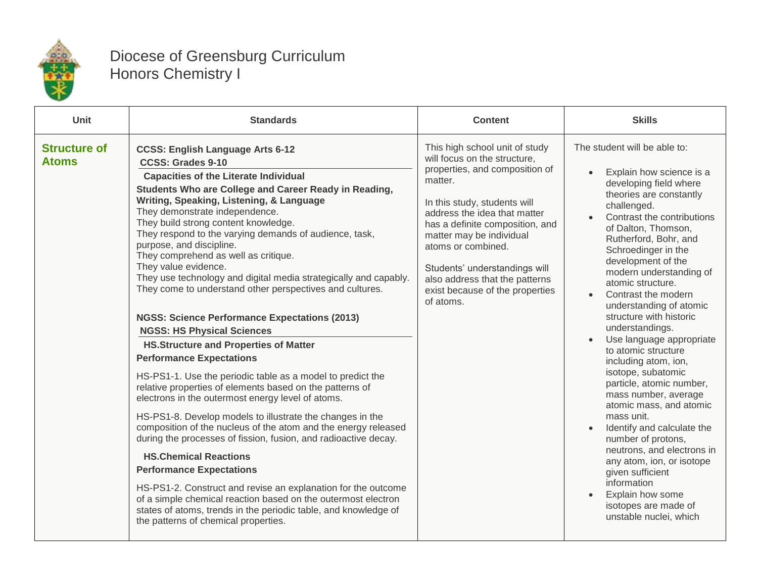

## Diocese of Greensburg Curriculum Honors Chemistry I

| Unit                                | <b>Standards</b>                                                                                                                                                                                                                                                                                                                                                                                                                                                                                                                                                                                                                                                                                                                                                                                                                                                                                                                                                                                                                                                                                                                                                                                                                                                                                                                                                                                                                                                          | <b>Content</b>                                                                                                                                                                                                                                                                                                                                                                      | <b>Skills</b>                                                                                                                                                                                                                                                                                                                                                                                                                                                                                                                                                                                                                                                                                                                                                                                                                 |
|-------------------------------------|---------------------------------------------------------------------------------------------------------------------------------------------------------------------------------------------------------------------------------------------------------------------------------------------------------------------------------------------------------------------------------------------------------------------------------------------------------------------------------------------------------------------------------------------------------------------------------------------------------------------------------------------------------------------------------------------------------------------------------------------------------------------------------------------------------------------------------------------------------------------------------------------------------------------------------------------------------------------------------------------------------------------------------------------------------------------------------------------------------------------------------------------------------------------------------------------------------------------------------------------------------------------------------------------------------------------------------------------------------------------------------------------------------------------------------------------------------------------------|-------------------------------------------------------------------------------------------------------------------------------------------------------------------------------------------------------------------------------------------------------------------------------------------------------------------------------------------------------------------------------------|-------------------------------------------------------------------------------------------------------------------------------------------------------------------------------------------------------------------------------------------------------------------------------------------------------------------------------------------------------------------------------------------------------------------------------------------------------------------------------------------------------------------------------------------------------------------------------------------------------------------------------------------------------------------------------------------------------------------------------------------------------------------------------------------------------------------------------|
| <b>Structure of</b><br><b>Atoms</b> | <b>CCSS: English Language Arts 6-12</b><br><b>CCSS: Grades 9-10</b><br><b>Capacities of the Literate Individual</b><br>Students Who are College and Career Ready in Reading,<br>Writing, Speaking, Listening, & Language<br>They demonstrate independence.<br>They build strong content knowledge.<br>They respond to the varying demands of audience, task,<br>purpose, and discipline.<br>They comprehend as well as critique.<br>They value evidence.<br>They use technology and digital media strategically and capably.<br>They come to understand other perspectives and cultures.<br><b>NGSS: Science Performance Expectations (2013)</b><br><b>NGSS: HS Physical Sciences</b><br><b>HS.Structure and Properties of Matter</b><br><b>Performance Expectations</b><br>HS-PS1-1. Use the periodic table as a model to predict the<br>relative properties of elements based on the patterns of<br>electrons in the outermost energy level of atoms.<br>HS-PS1-8. Develop models to illustrate the changes in the<br>composition of the nucleus of the atom and the energy released<br>during the processes of fission, fusion, and radioactive decay.<br><b>HS.Chemical Reactions</b><br><b>Performance Expectations</b><br>HS-PS1-2. Construct and revise an explanation for the outcome<br>of a simple chemical reaction based on the outermost electron<br>states of atoms, trends in the periodic table, and knowledge of<br>the patterns of chemical properties. | This high school unit of study<br>will focus on the structure,<br>properties, and composition of<br>matter.<br>In this study, students will<br>address the idea that matter<br>has a definite composition, and<br>matter may be individual<br>atoms or combined.<br>Students' understandings will<br>also address that the patterns<br>exist because of the properties<br>of atoms. | The student will be able to:<br>Explain how science is a<br>developing field where<br>theories are constantly<br>challenged.<br>Contrast the contributions<br>of Dalton, Thomson,<br>Rutherford, Bohr, and<br>Schroedinger in the<br>development of the<br>modern understanding of<br>atomic structure.<br>Contrast the modern<br>understanding of atomic<br>structure with historic<br>understandings.<br>Use language appropriate<br>to atomic structure<br>including atom, ion,<br>isotope, subatomic<br>particle, atomic number,<br>mass number, average<br>atomic mass, and atomic<br>mass unit.<br>Identify and calculate the<br>number of protons,<br>neutrons, and electrons in<br>any atom, ion, or isotope<br>given sufficient<br>information<br>Explain how some<br>isotopes are made of<br>unstable nuclei, which |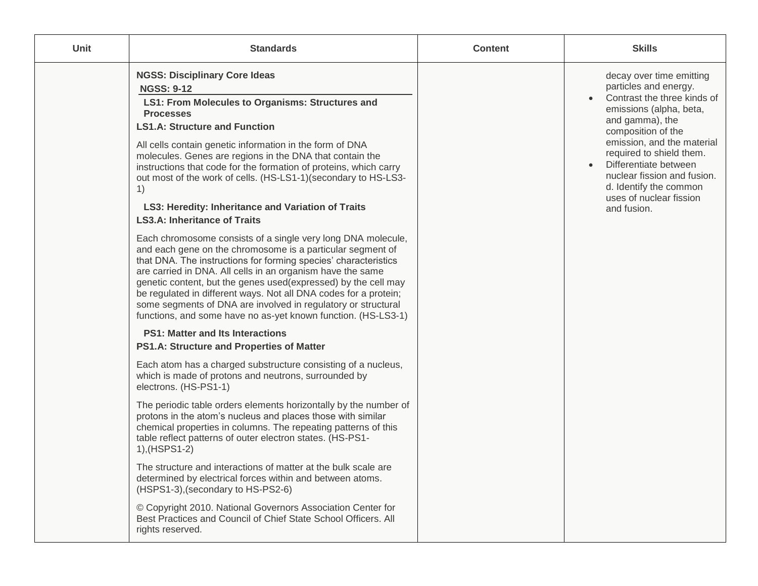| <b>Unit</b> | <b>Standards</b>                                                                                                                                                                                                                                                                                                                                                                                                                                                                                                                                                                                                                                                                                                                                                                                                                                                                                                                                                                                                                                                                                                                                                                                                                                                                                                                                                                                                                                                                                                                                                                                                                                                                                                                                                                                                                                                                                                                          | <b>Content</b> | <b>Skills</b>                                                                                                                                                                                                                                                                                                                              |
|-------------|-------------------------------------------------------------------------------------------------------------------------------------------------------------------------------------------------------------------------------------------------------------------------------------------------------------------------------------------------------------------------------------------------------------------------------------------------------------------------------------------------------------------------------------------------------------------------------------------------------------------------------------------------------------------------------------------------------------------------------------------------------------------------------------------------------------------------------------------------------------------------------------------------------------------------------------------------------------------------------------------------------------------------------------------------------------------------------------------------------------------------------------------------------------------------------------------------------------------------------------------------------------------------------------------------------------------------------------------------------------------------------------------------------------------------------------------------------------------------------------------------------------------------------------------------------------------------------------------------------------------------------------------------------------------------------------------------------------------------------------------------------------------------------------------------------------------------------------------------------------------------------------------------------------------------------------------|----------------|--------------------------------------------------------------------------------------------------------------------------------------------------------------------------------------------------------------------------------------------------------------------------------------------------------------------------------------------|
|             | <b>NGSS: Disciplinary Core Ideas</b><br><b>NGSS: 9-12</b><br>LS1: From Molecules to Organisms: Structures and<br><b>Processes</b><br><b>LS1.A: Structure and Function</b><br>All cells contain genetic information in the form of DNA<br>molecules. Genes are regions in the DNA that contain the<br>instructions that code for the formation of proteins, which carry<br>out most of the work of cells. (HS-LS1-1)(secondary to HS-LS3-<br>1)<br>LS3: Heredity: Inheritance and Variation of Traits<br><b>LS3.A: Inheritance of Traits</b><br>Each chromosome consists of a single very long DNA molecule,<br>and each gene on the chromosome is a particular segment of<br>that DNA. The instructions for forming species' characteristics<br>are carried in DNA. All cells in an organism have the same<br>genetic content, but the genes used(expressed) by the cell may<br>be regulated in different ways. Not all DNA codes for a protein;<br>some segments of DNA are involved in regulatory or structural<br>functions, and some have no as-yet known function. (HS-LS3-1)<br><b>PS1: Matter and Its Interactions</b><br>PS1.A: Structure and Properties of Matter<br>Each atom has a charged substructure consisting of a nucleus,<br>which is made of protons and neutrons, surrounded by<br>electrons. (HS-PS1-1)<br>The periodic table orders elements horizontally by the number of<br>protons in the atom's nucleus and places those with similar<br>chemical properties in columns. The repeating patterns of this<br>table reflect patterns of outer electron states. (HS-PS1-<br>1), (HSPS1-2)<br>The structure and interactions of matter at the bulk scale are<br>determined by electrical forces within and between atoms.<br>(HSPS1-3), (secondary to HS-PS2-6)<br>© Copyright 2010. National Governors Association Center for<br>Best Practices and Council of Chief State School Officers, All<br>rights reserved. |                | decay over time emitting<br>particles and energy.<br>Contrast the three kinds of<br>emissions (alpha, beta,<br>and gamma), the<br>composition of the<br>emission, and the material<br>required to shield them.<br>Differentiate between<br>nuclear fission and fusion.<br>d. Identify the common<br>uses of nuclear fission<br>and fusion. |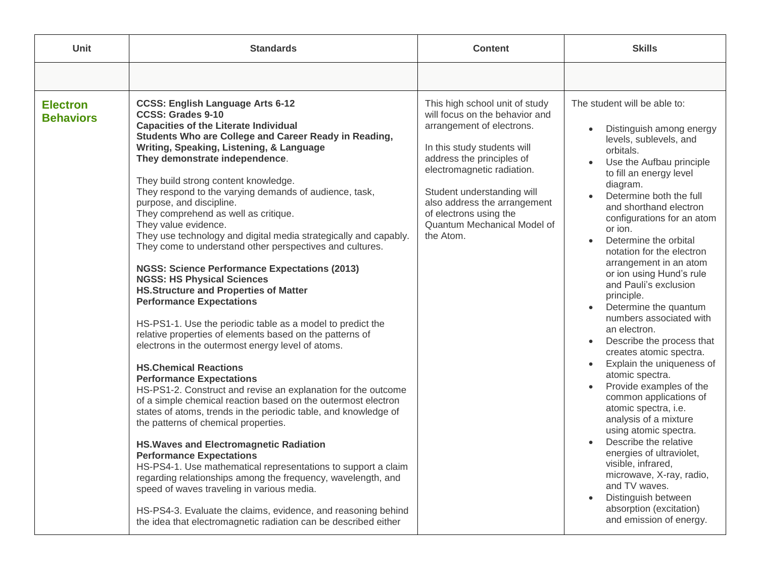| <b>Unit</b>                         | <b>Standards</b>                                                                                                                                                                                                                                                                                                                                                                                                                                                                                                                                                                                                                                                                                                                                                                                                                                                                                                                                                                                                                                                                                                                                                                                                                                                                                                                                                                                                                                                                                                                                                                                                                                                                | <b>Content</b>                                                                                                                                                                                                                                                                                                              | <b>Skills</b>                                                                                                                                                                                                                                                                                                                                                                                                                                                                                                                                                                                                                                                                                                                                                                                                                                                                                                                                                                                                     |
|-------------------------------------|---------------------------------------------------------------------------------------------------------------------------------------------------------------------------------------------------------------------------------------------------------------------------------------------------------------------------------------------------------------------------------------------------------------------------------------------------------------------------------------------------------------------------------------------------------------------------------------------------------------------------------------------------------------------------------------------------------------------------------------------------------------------------------------------------------------------------------------------------------------------------------------------------------------------------------------------------------------------------------------------------------------------------------------------------------------------------------------------------------------------------------------------------------------------------------------------------------------------------------------------------------------------------------------------------------------------------------------------------------------------------------------------------------------------------------------------------------------------------------------------------------------------------------------------------------------------------------------------------------------------------------------------------------------------------------|-----------------------------------------------------------------------------------------------------------------------------------------------------------------------------------------------------------------------------------------------------------------------------------------------------------------------------|-------------------------------------------------------------------------------------------------------------------------------------------------------------------------------------------------------------------------------------------------------------------------------------------------------------------------------------------------------------------------------------------------------------------------------------------------------------------------------------------------------------------------------------------------------------------------------------------------------------------------------------------------------------------------------------------------------------------------------------------------------------------------------------------------------------------------------------------------------------------------------------------------------------------------------------------------------------------------------------------------------------------|
|                                     |                                                                                                                                                                                                                                                                                                                                                                                                                                                                                                                                                                                                                                                                                                                                                                                                                                                                                                                                                                                                                                                                                                                                                                                                                                                                                                                                                                                                                                                                                                                                                                                                                                                                                 |                                                                                                                                                                                                                                                                                                                             |                                                                                                                                                                                                                                                                                                                                                                                                                                                                                                                                                                                                                                                                                                                                                                                                                                                                                                                                                                                                                   |
| <b>Electron</b><br><b>Behaviors</b> | <b>CCSS: English Language Arts 6-12</b><br><b>CCSS: Grades 9-10</b><br><b>Capacities of the Literate Individual</b><br>Students Who are College and Career Ready in Reading,<br>Writing, Speaking, Listening, & Language<br>They demonstrate independence.<br>They build strong content knowledge.<br>They respond to the varying demands of audience, task,<br>purpose, and discipline.<br>They comprehend as well as critique.<br>They value evidence.<br>They use technology and digital media strategically and capably.<br>They come to understand other perspectives and cultures.<br><b>NGSS: Science Performance Expectations (2013)</b><br><b>NGSS: HS Physical Sciences</b><br><b>HS.Structure and Properties of Matter</b><br><b>Performance Expectations</b><br>HS-PS1-1. Use the periodic table as a model to predict the<br>relative properties of elements based on the patterns of<br>electrons in the outermost energy level of atoms.<br><b>HS.Chemical Reactions</b><br><b>Performance Expectations</b><br>HS-PS1-2. Construct and revise an explanation for the outcome<br>of a simple chemical reaction based on the outermost electron<br>states of atoms, trends in the periodic table, and knowledge of<br>the patterns of chemical properties.<br><b>HS. Waves and Electromagnetic Radiation</b><br><b>Performance Expectations</b><br>HS-PS4-1. Use mathematical representations to support a claim<br>regarding relationships among the frequency, wavelength, and<br>speed of waves traveling in various media.<br>HS-PS4-3. Evaluate the claims, evidence, and reasoning behind<br>the idea that electromagnetic radiation can be described either | This high school unit of study<br>will focus on the behavior and<br>arrangement of electrons.<br>In this study students will<br>address the principles of<br>electromagnetic radiation.<br>Student understanding will<br>also address the arrangement<br>of electrons using the<br>Quantum Mechanical Model of<br>the Atom. | The student will be able to:<br>Distinguish among energy<br>$\bullet$<br>levels, sublevels, and<br>orbitals.<br>Use the Aufbau principle<br>to fill an energy level<br>diagram.<br>Determine both the full<br>and shorthand electron<br>configurations for an atom<br>or ion.<br>Determine the orbital<br>$\bullet$<br>notation for the electron<br>arrangement in an atom<br>or ion using Hund's rule<br>and Pauli's exclusion<br>principle.<br>Determine the quantum<br>$\bullet$<br>numbers associated with<br>an electron.<br>Describe the process that<br>$\bullet$<br>creates atomic spectra.<br>Explain the uniqueness of<br>$\bullet$<br>atomic spectra.<br>Provide examples of the<br>$\bullet$<br>common applications of<br>atomic spectra, i.e.<br>analysis of a mixture<br>using atomic spectra.<br>Describe the relative<br>energies of ultraviolet,<br>visible, infrared,<br>microwave, X-ray, radio,<br>and TV waves.<br>Distinguish between<br>absorption (excitation)<br>and emission of energy. |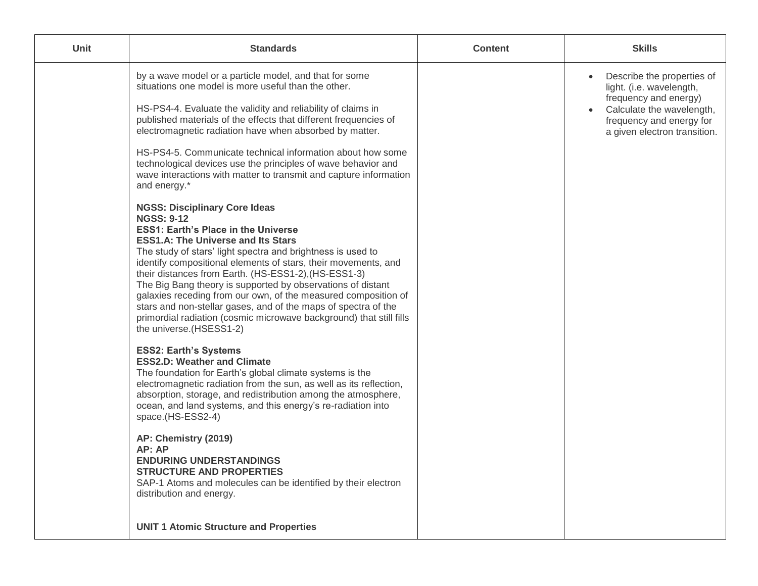| <b>Unit</b> | <b>Standards</b>                                                                                                                                                                                                                                                                                                                                                                                                                                                                                                                                                                                                                                                                                                                                                                                                                                                                                                                                                                                                                                                                                                                                                                                                                                                                                                                                                                                                                                                                                                                                                                                                                                                                                                                                         | <b>Content</b> | <b>Skills</b>                                                                                                                                                                                      |
|-------------|----------------------------------------------------------------------------------------------------------------------------------------------------------------------------------------------------------------------------------------------------------------------------------------------------------------------------------------------------------------------------------------------------------------------------------------------------------------------------------------------------------------------------------------------------------------------------------------------------------------------------------------------------------------------------------------------------------------------------------------------------------------------------------------------------------------------------------------------------------------------------------------------------------------------------------------------------------------------------------------------------------------------------------------------------------------------------------------------------------------------------------------------------------------------------------------------------------------------------------------------------------------------------------------------------------------------------------------------------------------------------------------------------------------------------------------------------------------------------------------------------------------------------------------------------------------------------------------------------------------------------------------------------------------------------------------------------------------------------------------------------------|----------------|----------------------------------------------------------------------------------------------------------------------------------------------------------------------------------------------------|
|             | by a wave model or a particle model, and that for some<br>situations one model is more useful than the other.<br>HS-PS4-4. Evaluate the validity and reliability of claims in<br>published materials of the effects that different frequencies of<br>electromagnetic radiation have when absorbed by matter.<br>HS-PS4-5. Communicate technical information about how some<br>technological devices use the principles of wave behavior and<br>wave interactions with matter to transmit and capture information<br>and energy.*<br><b>NGSS: Disciplinary Core Ideas</b><br><b>NGSS: 9-12</b><br><b>ESS1: Earth's Place in the Universe</b><br><b>ESS1.A: The Universe and Its Stars</b><br>The study of stars' light spectra and brightness is used to<br>identify compositional elements of stars, their movements, and<br>their distances from Earth. (HS-ESS1-2), (HS-ESS1-3)<br>The Big Bang theory is supported by observations of distant<br>galaxies receding from our own, of the measured composition of<br>stars and non-stellar gases, and of the maps of spectra of the<br>primordial radiation (cosmic microwave background) that still fills<br>the universe.(HSESS1-2)<br><b>ESS2: Earth's Systems</b><br><b>ESS2.D: Weather and Climate</b><br>The foundation for Earth's global climate systems is the<br>electromagnetic radiation from the sun, as well as its reflection,<br>absorption, storage, and redistribution among the atmosphere,<br>ocean, and land systems, and this energy's re-radiation into<br>space.(HS-ESS2-4)<br>AP: Chemistry (2019)<br>AP: AP<br><b>ENDURING UNDERSTANDINGS</b><br><b>STRUCTURE AND PROPERTIES</b><br>SAP-1 Atoms and molecules can be identified by their electron<br>distribution and energy. |                | Describe the properties of<br>$\bullet$<br>light. (i.e. wavelength,<br>frequency and energy)<br>Calculate the wavelength,<br>$\bullet$<br>frequency and energy for<br>a given electron transition. |
|             | <b>UNIT 1 Atomic Structure and Properties</b>                                                                                                                                                                                                                                                                                                                                                                                                                                                                                                                                                                                                                                                                                                                                                                                                                                                                                                                                                                                                                                                                                                                                                                                                                                                                                                                                                                                                                                                                                                                                                                                                                                                                                                            |                |                                                                                                                                                                                                    |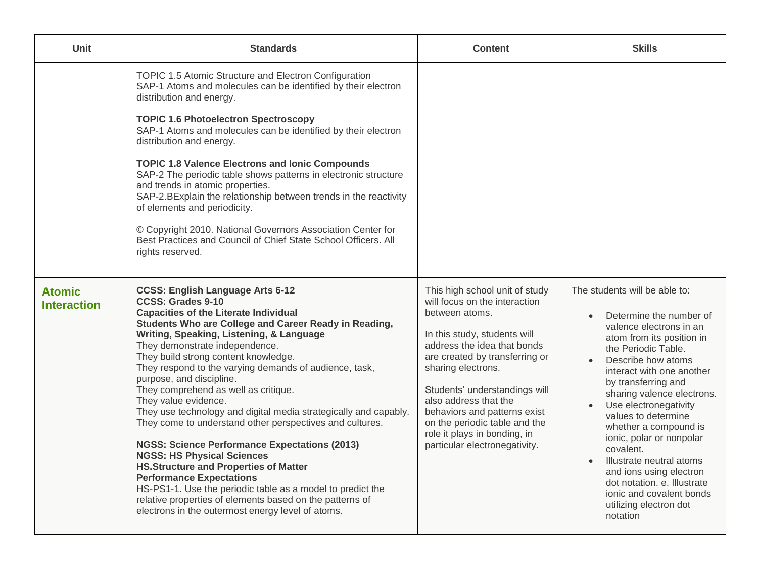| Unit                                | <b>Standards</b>                                                                                                                                                                                                                                                                                                                                                                                                                                                                                                                                                                                                                                                                                                                                                                                                                                                                                                                                        | <b>Content</b>                                                                                                                                                                                                                                                                                                                                                                                       | <b>Skills</b>                                                                                                                                                                                                                                                                                                                                                                                                                                                                                                                                       |
|-------------------------------------|---------------------------------------------------------------------------------------------------------------------------------------------------------------------------------------------------------------------------------------------------------------------------------------------------------------------------------------------------------------------------------------------------------------------------------------------------------------------------------------------------------------------------------------------------------------------------------------------------------------------------------------------------------------------------------------------------------------------------------------------------------------------------------------------------------------------------------------------------------------------------------------------------------------------------------------------------------|------------------------------------------------------------------------------------------------------------------------------------------------------------------------------------------------------------------------------------------------------------------------------------------------------------------------------------------------------------------------------------------------------|-----------------------------------------------------------------------------------------------------------------------------------------------------------------------------------------------------------------------------------------------------------------------------------------------------------------------------------------------------------------------------------------------------------------------------------------------------------------------------------------------------------------------------------------------------|
|                                     | TOPIC 1.5 Atomic Structure and Electron Configuration<br>SAP-1 Atoms and molecules can be identified by their electron<br>distribution and energy.                                                                                                                                                                                                                                                                                                                                                                                                                                                                                                                                                                                                                                                                                                                                                                                                      |                                                                                                                                                                                                                                                                                                                                                                                                      |                                                                                                                                                                                                                                                                                                                                                                                                                                                                                                                                                     |
|                                     | <b>TOPIC 1.6 Photoelectron Spectroscopy</b><br>SAP-1 Atoms and molecules can be identified by their electron<br>distribution and energy.                                                                                                                                                                                                                                                                                                                                                                                                                                                                                                                                                                                                                                                                                                                                                                                                                |                                                                                                                                                                                                                                                                                                                                                                                                      |                                                                                                                                                                                                                                                                                                                                                                                                                                                                                                                                                     |
|                                     | <b>TOPIC 1.8 Valence Electrons and lonic Compounds</b><br>SAP-2 The periodic table shows patterns in electronic structure<br>and trends in atomic properties.<br>SAP-2.BExplain the relationship between trends in the reactivity<br>of elements and periodicity.<br>© Copyright 2010. National Governors Association Center for<br>Best Practices and Council of Chief State School Officers. All<br>rights reserved.                                                                                                                                                                                                                                                                                                                                                                                                                                                                                                                                  |                                                                                                                                                                                                                                                                                                                                                                                                      |                                                                                                                                                                                                                                                                                                                                                                                                                                                                                                                                                     |
| <b>Atomic</b><br><b>Interaction</b> | <b>CCSS: English Language Arts 6-12</b><br><b>CCSS: Grades 9-10</b><br><b>Capacities of the Literate Individual</b><br>Students Who are College and Career Ready in Reading,<br>Writing, Speaking, Listening, & Language<br>They demonstrate independence.<br>They build strong content knowledge.<br>They respond to the varying demands of audience, task,<br>purpose, and discipline.<br>They comprehend as well as critique.<br>They value evidence.<br>They use technology and digital media strategically and capably.<br>They come to understand other perspectives and cultures.<br><b>NGSS: Science Performance Expectations (2013)</b><br><b>NGSS: HS Physical Sciences</b><br><b>HS.Structure and Properties of Matter</b><br><b>Performance Expectations</b><br>HS-PS1-1. Use the periodic table as a model to predict the<br>relative properties of elements based on the patterns of<br>electrons in the outermost energy level of atoms. | This high school unit of study<br>will focus on the interaction<br>between atoms.<br>In this study, students will<br>address the idea that bonds<br>are created by transferring or<br>sharing electrons.<br>Students' understandings will<br>also address that the<br>behaviors and patterns exist<br>on the periodic table and the<br>role it plays in bonding, in<br>particular electronegativity. | The students will be able to:<br>Determine the number of<br>valence electrons in an<br>atom from its position in<br>the Periodic Table.<br>Describe how atoms<br>$\bullet$<br>interact with one another<br>by transferring and<br>sharing valence electrons.<br>Use electronegativity<br>values to determine<br>whether a compound is<br>ionic, polar or nonpolar<br>covalent.<br>Illustrate neutral atoms<br>$\bullet$<br>and ions using electron<br>dot notation. e. Illustrate<br>ionic and covalent bonds<br>utilizing electron dot<br>notation |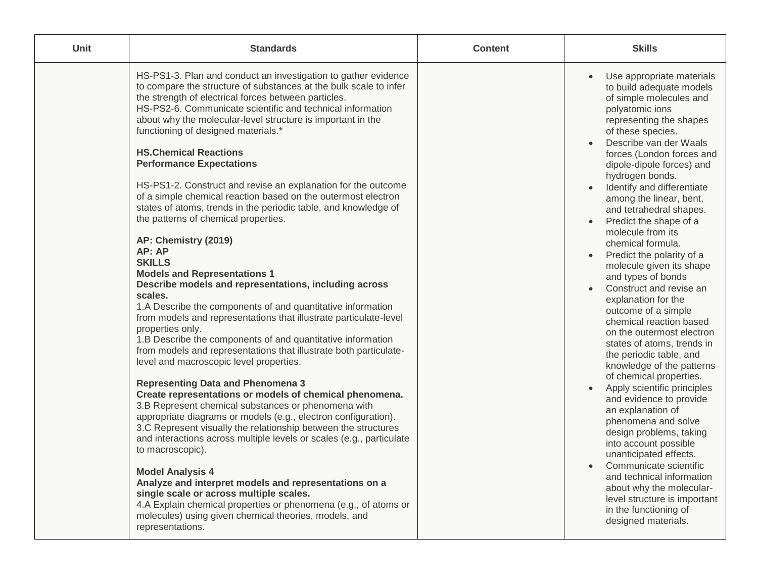| Unit | <b>Standards</b>                                                                                                                                                                                                                                                                                                                                                                                                                                                                                                                                                                                                                                                                                                                                                                                                                                                                                                                                                                                                                                                                                                                                                                                                                                                                                                                                                                                                                                                                                                                                                                                                                                                                                                                                                                                                                                                  | <b>Content</b> | <b>Skills</b>                                                                                                                                                                                                                                                                                                                                                                                                                                                                                                                                                                                                                                                                                                                                                                                                                                                                                                                                                                                                                                                                                                                                                  |
|------|-------------------------------------------------------------------------------------------------------------------------------------------------------------------------------------------------------------------------------------------------------------------------------------------------------------------------------------------------------------------------------------------------------------------------------------------------------------------------------------------------------------------------------------------------------------------------------------------------------------------------------------------------------------------------------------------------------------------------------------------------------------------------------------------------------------------------------------------------------------------------------------------------------------------------------------------------------------------------------------------------------------------------------------------------------------------------------------------------------------------------------------------------------------------------------------------------------------------------------------------------------------------------------------------------------------------------------------------------------------------------------------------------------------------------------------------------------------------------------------------------------------------------------------------------------------------------------------------------------------------------------------------------------------------------------------------------------------------------------------------------------------------------------------------------------------------------------------------------------------------|----------------|----------------------------------------------------------------------------------------------------------------------------------------------------------------------------------------------------------------------------------------------------------------------------------------------------------------------------------------------------------------------------------------------------------------------------------------------------------------------------------------------------------------------------------------------------------------------------------------------------------------------------------------------------------------------------------------------------------------------------------------------------------------------------------------------------------------------------------------------------------------------------------------------------------------------------------------------------------------------------------------------------------------------------------------------------------------------------------------------------------------------------------------------------------------|
|      | HS-PS1-3. Plan and conduct an investigation to gather evidence<br>to compare the structure of substances at the bulk scale to infer<br>the strength of electrical forces between particles.<br>HS-PS2-6. Communicate scientific and technical information<br>about why the molecular-level structure is important in the<br>functioning of designed materials.*<br><b>HS.Chemical Reactions</b><br><b>Performance Expectations</b><br>HS-PS1-2. Construct and revise an explanation for the outcome<br>of a simple chemical reaction based on the outermost electron<br>states of atoms, trends in the periodic table, and knowledge of<br>the patterns of chemical properties.<br>AP: Chemistry (2019)<br>AP: AP<br><b>SKILLS</b><br><b>Models and Representations 1</b><br>Describe models and representations, including across<br>scales.<br>1.A Describe the components of and quantitative information<br>from models and representations that illustrate particulate-level<br>properties only.<br>1.B Describe the components of and quantitative information<br>from models and representations that illustrate both particulate-<br>level and macroscopic level properties.<br><b>Representing Data and Phenomena 3</b><br>Create representations or models of chemical phenomena.<br>3.B Represent chemical substances or phenomena with<br>appropriate diagrams or models (e.g., electron configuration).<br>3.C Represent visually the relationship between the structures<br>and interactions across multiple levels or scales (e.g., particulate<br>to macroscopic).<br><b>Model Analysis 4</b><br>Analyze and interpret models and representations on a<br>single scale or across multiple scales.<br>4.A Explain chemical properties or phenomena (e.g., of atoms or<br>molecules) using given chemical theories, models, and<br>representations. |                | Use appropriate materials<br>to build adequate models<br>of simple molecules and<br>polyatomic ions<br>representing the shapes<br>of these species.<br>Describe van der Waals<br>$\bullet$<br>forces (London forces and<br>dipole-dipole forces) and<br>hydrogen bonds.<br>Identify and differentiate<br>$\bullet$<br>among the linear, bent,<br>and tetrahedral shapes.<br>Predict the shape of a<br>$\bullet$<br>molecule from its<br>chemical formula.<br>Predict the polarity of a<br>molecule given its shape<br>and types of bonds<br>Construct and revise an<br>explanation for the<br>outcome of a simple<br>chemical reaction based<br>on the outermost electron<br>states of atoms, trends in<br>the periodic table, and<br>knowledge of the patterns<br>of chemical properties.<br>Apply scientific principles<br>$\bullet$<br>and evidence to provide<br>an explanation of<br>phenomena and solve<br>design problems, taking<br>into account possible<br>unanticipated effects.<br>Communicate scientific<br>and technical information<br>about why the molecular-<br>level structure is important<br>in the functioning of<br>designed materials. |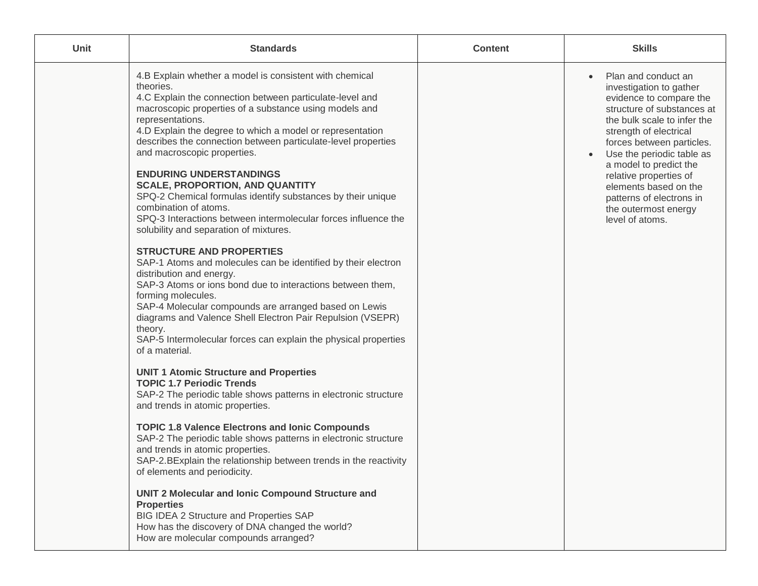| Unit | <b>Standards</b>                                                                                                                                                                                                                                                                                                                                                                                                                                                                                                                                                                                                                                                                                                                                                                                                                                                                                                                                                                                                                                                                                                                                                                                                                                                                                                                                                                                                                                                                                                                                                                                                                                                                                                                                                                                | <b>Content</b> | <b>Skills</b>                                                                                                                                                                                                                                                                                                                                                                  |
|------|-------------------------------------------------------------------------------------------------------------------------------------------------------------------------------------------------------------------------------------------------------------------------------------------------------------------------------------------------------------------------------------------------------------------------------------------------------------------------------------------------------------------------------------------------------------------------------------------------------------------------------------------------------------------------------------------------------------------------------------------------------------------------------------------------------------------------------------------------------------------------------------------------------------------------------------------------------------------------------------------------------------------------------------------------------------------------------------------------------------------------------------------------------------------------------------------------------------------------------------------------------------------------------------------------------------------------------------------------------------------------------------------------------------------------------------------------------------------------------------------------------------------------------------------------------------------------------------------------------------------------------------------------------------------------------------------------------------------------------------------------------------------------------------------------|----------------|--------------------------------------------------------------------------------------------------------------------------------------------------------------------------------------------------------------------------------------------------------------------------------------------------------------------------------------------------------------------------------|
|      | 4.B Explain whether a model is consistent with chemical<br>theories.<br>4.C Explain the connection between particulate-level and<br>macroscopic properties of a substance using models and<br>representations.<br>4.D Explain the degree to which a model or representation<br>describes the connection between particulate-level properties<br>and macroscopic properties.<br><b>ENDURING UNDERSTANDINGS</b><br><b>SCALE, PROPORTION, AND QUANTITY</b><br>SPQ-2 Chemical formulas identify substances by their unique<br>combination of atoms.<br>SPQ-3 Interactions between intermolecular forces influence the<br>solubility and separation of mixtures.<br><b>STRUCTURE AND PROPERTIES</b><br>SAP-1 Atoms and molecules can be identified by their electron<br>distribution and energy.<br>SAP-3 Atoms or ions bond due to interactions between them,<br>forming molecules.<br>SAP-4 Molecular compounds are arranged based on Lewis<br>diagrams and Valence Shell Electron Pair Repulsion (VSEPR)<br>theory.<br>SAP-5 Intermolecular forces can explain the physical properties<br>of a material.<br><b>UNIT 1 Atomic Structure and Properties</b><br><b>TOPIC 1.7 Periodic Trends</b><br>SAP-2 The periodic table shows patterns in electronic structure<br>and trends in atomic properties.<br><b>TOPIC 1.8 Valence Electrons and lonic Compounds</b><br>SAP-2 The periodic table shows patterns in electronic structure<br>and trends in atomic properties.<br>SAP-2.BExplain the relationship between trends in the reactivity<br>of elements and periodicity.<br><b>UNIT 2 Molecular and Ionic Compound Structure and</b><br><b>Properties</b><br>BIG IDEA 2 Structure and Properties SAP<br>How has the discovery of DNA changed the world?<br>How are molecular compounds arranged? |                | Plan and conduct an<br>investigation to gather<br>evidence to compare the<br>structure of substances at<br>the bulk scale to infer the<br>strength of electrical<br>forces between particles.<br>Use the periodic table as<br>a model to predict the<br>relative properties of<br>elements based on the<br>patterns of electrons in<br>the outermost energy<br>level of atoms. |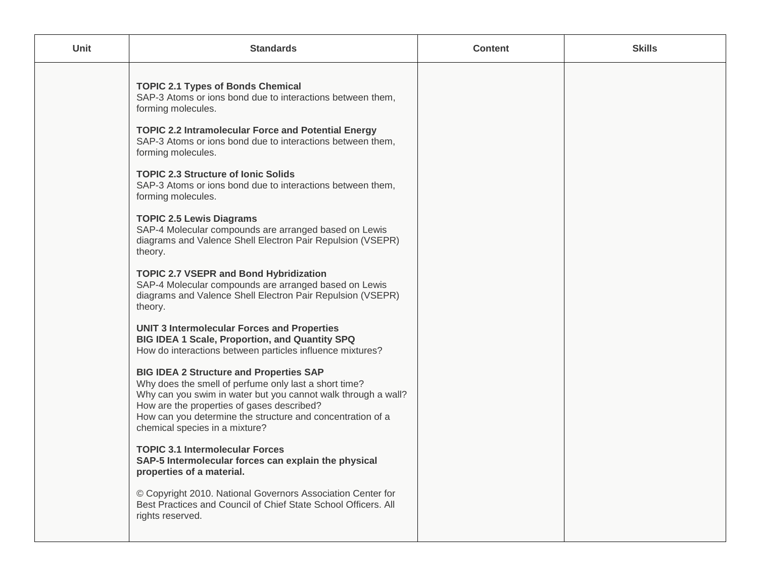| Unit | <b>Standards</b>                                                                                                                                                                                                                                                                                                                                                                           | <b>Content</b> | <b>Skills</b> |
|------|--------------------------------------------------------------------------------------------------------------------------------------------------------------------------------------------------------------------------------------------------------------------------------------------------------------------------------------------------------------------------------------------|----------------|---------------|
|      | <b>TOPIC 2.1 Types of Bonds Chemical</b><br>SAP-3 Atoms or ions bond due to interactions between them,<br>forming molecules.<br><b>TOPIC 2.2 Intramolecular Force and Potential Energy</b><br>SAP-3 Atoms or ions bond due to interactions between them,<br>forming molecules.<br><b>TOPIC 2.3 Structure of Ionic Solids</b><br>SAP-3 Atoms or ions bond due to interactions between them, |                |               |
|      | forming molecules.<br><b>TOPIC 2.5 Lewis Diagrams</b><br>SAP-4 Molecular compounds are arranged based on Lewis<br>diagrams and Valence Shell Electron Pair Repulsion (VSEPR)<br>theory.<br><b>TOPIC 2.7 VSEPR and Bond Hybridization</b><br>SAP-4 Molecular compounds are arranged based on Lewis                                                                                          |                |               |
|      | diagrams and Valence Shell Electron Pair Repulsion (VSEPR)<br>theory.<br><b>UNIT 3 Intermolecular Forces and Properties</b><br>BIG IDEA 1 Scale, Proportion, and Quantity SPQ<br>How do interactions between particles influence mixtures?                                                                                                                                                 |                |               |
|      | <b>BIG IDEA 2 Structure and Properties SAP</b><br>Why does the smell of perfume only last a short time?<br>Why can you swim in water but you cannot walk through a wall?<br>How are the properties of gases described?<br>How can you determine the structure and concentration of a<br>chemical species in a mixture?<br><b>TOPIC 3.1 Intermolecular Forces</b>                           |                |               |
|      | SAP-5 Intermolecular forces can explain the physical<br>properties of a material.<br>© Copyright 2010. National Governors Association Center for<br>Best Practices and Council of Chief State School Officers. All<br>rights reserved.                                                                                                                                                     |                |               |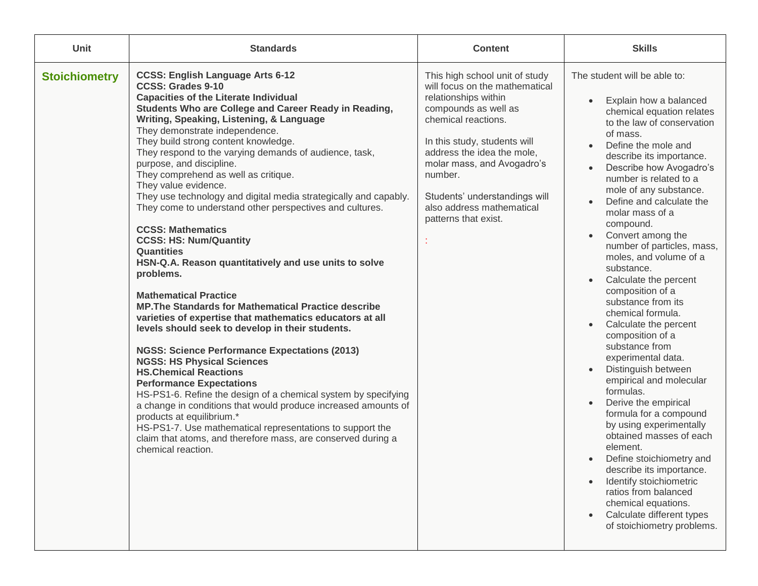| Unit                 | <b>Standards</b>                                                                                                                                                                                                                                                                                                                                                                                                                                                                                                                                                                                                                                                                                                                                                                                                                                                                                                                                                                                                                                                                                                                                                                                                                                                                                                                                                                                                                                    | <b>Content</b>                                                                                                                                                                                                                                                                                                                       | <b>Skills</b>                                                                                                                                                                                                                                                                                                                                                                                                                                                                                                                                                                                                                                                                                                                                                                                                                                                                                                                                                                                                                                                                                                         |
|----------------------|-----------------------------------------------------------------------------------------------------------------------------------------------------------------------------------------------------------------------------------------------------------------------------------------------------------------------------------------------------------------------------------------------------------------------------------------------------------------------------------------------------------------------------------------------------------------------------------------------------------------------------------------------------------------------------------------------------------------------------------------------------------------------------------------------------------------------------------------------------------------------------------------------------------------------------------------------------------------------------------------------------------------------------------------------------------------------------------------------------------------------------------------------------------------------------------------------------------------------------------------------------------------------------------------------------------------------------------------------------------------------------------------------------------------------------------------------------|--------------------------------------------------------------------------------------------------------------------------------------------------------------------------------------------------------------------------------------------------------------------------------------------------------------------------------------|-----------------------------------------------------------------------------------------------------------------------------------------------------------------------------------------------------------------------------------------------------------------------------------------------------------------------------------------------------------------------------------------------------------------------------------------------------------------------------------------------------------------------------------------------------------------------------------------------------------------------------------------------------------------------------------------------------------------------------------------------------------------------------------------------------------------------------------------------------------------------------------------------------------------------------------------------------------------------------------------------------------------------------------------------------------------------------------------------------------------------|
| <b>Stoichiometry</b> | <b>CCSS: English Language Arts 6-12</b><br><b>CCSS: Grades 9-10</b><br><b>Capacities of the Literate Individual</b><br>Students Who are College and Career Ready in Reading,<br>Writing, Speaking, Listening, & Language<br>They demonstrate independence.<br>They build strong content knowledge.<br>They respond to the varying demands of audience, task,<br>purpose, and discipline.<br>They comprehend as well as critique.<br>They value evidence.<br>They use technology and digital media strategically and capably.<br>They come to understand other perspectives and cultures.<br><b>CCSS: Mathematics</b><br><b>CCSS: HS: Num/Quantity</b><br><b>Quantities</b><br>HSN-Q.A. Reason quantitatively and use units to solve<br>problems.<br><b>Mathematical Practice</b><br><b>MP. The Standards for Mathematical Practice describe</b><br>varieties of expertise that mathematics educators at all<br>levels should seek to develop in their students.<br><b>NGSS: Science Performance Expectations (2013)</b><br><b>NGSS: HS Physical Sciences</b><br><b>HS.Chemical Reactions</b><br><b>Performance Expectations</b><br>HS-PS1-6. Refine the design of a chemical system by specifying<br>a change in conditions that would produce increased amounts of<br>products at equilibrium.*<br>HS-PS1-7. Use mathematical representations to support the<br>claim that atoms, and therefore mass, are conserved during a<br>chemical reaction. | This high school unit of study<br>will focus on the mathematical<br>relationships within<br>compounds as well as<br>chemical reactions.<br>In this study, students will<br>address the idea the mole,<br>molar mass, and Avogadro's<br>number.<br>Students' understandings will<br>also address mathematical<br>patterns that exist. | The student will be able to:<br>Explain how a balanced<br>$\bullet$<br>chemical equation relates<br>to the law of conservation<br>of mass.<br>Define the mole and<br>$\bullet$<br>describe its importance.<br>Describe how Avogadro's<br>$\bullet$<br>number is related to a<br>mole of any substance.<br>Define and calculate the<br>molar mass of a<br>compound.<br>Convert among the<br>$\bullet$<br>number of particles, mass,<br>moles, and volume of a<br>substance.<br>Calculate the percent<br>$\bullet$<br>composition of a<br>substance from its<br>chemical formula.<br>Calculate the percent<br>$\bullet$<br>composition of a<br>substance from<br>experimental data.<br>Distinguish between<br>$\bullet$<br>empirical and molecular<br>formulas.<br>Derive the empirical<br>$\bullet$<br>formula for a compound<br>by using experimentally<br>obtained masses of each<br>element.<br>Define stoichiometry and<br>$\bullet$<br>describe its importance.<br>Identify stoichiometric<br>$\bullet$<br>ratios from balanced<br>chemical equations.<br>Calculate different types<br>of stoichiometry problems. |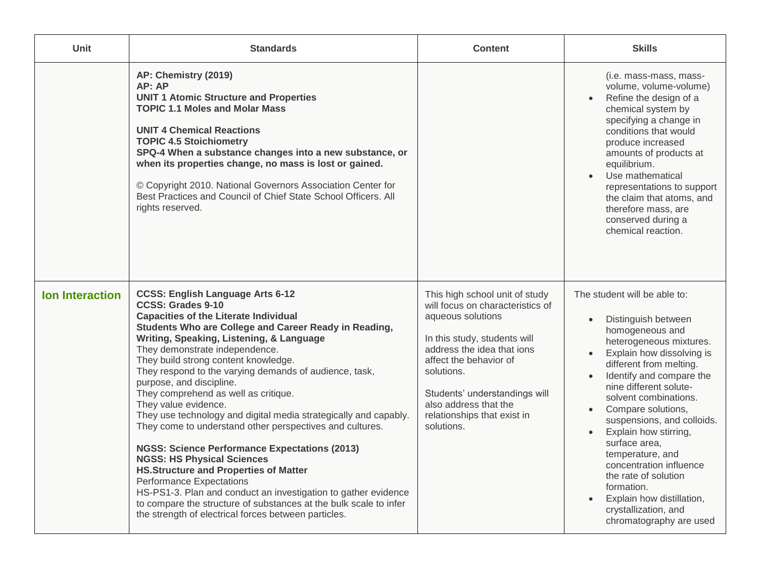| Unit                   | <b>Standards</b>                                                                                                                                                                                                                                                                                                                                                                                                                                                                                                                                                                                                                                                                                                                                                                                                                                                                                                                                                        | <b>Content</b>                                                                                                                                                                                                                                                                                       | <b>Skills</b>                                                                                                                                                                                                                                                                                                                                                                                                                                                                                                                                                                             |
|------------------------|-------------------------------------------------------------------------------------------------------------------------------------------------------------------------------------------------------------------------------------------------------------------------------------------------------------------------------------------------------------------------------------------------------------------------------------------------------------------------------------------------------------------------------------------------------------------------------------------------------------------------------------------------------------------------------------------------------------------------------------------------------------------------------------------------------------------------------------------------------------------------------------------------------------------------------------------------------------------------|------------------------------------------------------------------------------------------------------------------------------------------------------------------------------------------------------------------------------------------------------------------------------------------------------|-------------------------------------------------------------------------------------------------------------------------------------------------------------------------------------------------------------------------------------------------------------------------------------------------------------------------------------------------------------------------------------------------------------------------------------------------------------------------------------------------------------------------------------------------------------------------------------------|
|                        | AP: Chemistry (2019)<br>AP: AP<br><b>UNIT 1 Atomic Structure and Properties</b><br><b>TOPIC 1.1 Moles and Molar Mass</b><br><b>UNIT 4 Chemical Reactions</b><br><b>TOPIC 4.5 Stoichiometry</b><br>SPQ-4 When a substance changes into a new substance, or<br>when its properties change, no mass is lost or gained.<br>© Copyright 2010. National Governors Association Center for<br>Best Practices and Council of Chief State School Officers, All<br>rights reserved.                                                                                                                                                                                                                                                                                                                                                                                                                                                                                                |                                                                                                                                                                                                                                                                                                      | (i.e. mass-mass, mass-<br>volume, volume-volume)<br>Refine the design of a<br>$\bullet$<br>chemical system by<br>specifying a change in<br>conditions that would<br>produce increased<br>amounts of products at<br>equilibrium.<br>Use mathematical<br>$\bullet$<br>representations to support<br>the claim that atoms, and<br>therefore mass, are<br>conserved during a<br>chemical reaction.                                                                                                                                                                                            |
| <b>Ion Interaction</b> | <b>CCSS: English Language Arts 6-12</b><br><b>CCSS: Grades 9-10</b><br><b>Capacities of the Literate Individual</b><br>Students Who are College and Career Ready in Reading,<br>Writing, Speaking, Listening, & Language<br>They demonstrate independence.<br>They build strong content knowledge.<br>They respond to the varying demands of audience, task,<br>purpose, and discipline.<br>They comprehend as well as critique.<br>They value evidence.<br>They use technology and digital media strategically and capably.<br>They come to understand other perspectives and cultures.<br><b>NGSS: Science Performance Expectations (2013)</b><br><b>NGSS: HS Physical Sciences</b><br><b>HS.Structure and Properties of Matter</b><br><b>Performance Expectations</b><br>HS-PS1-3. Plan and conduct an investigation to gather evidence<br>to compare the structure of substances at the bulk scale to infer<br>the strength of electrical forces between particles. | This high school unit of study<br>will focus on characteristics of<br>aqueous solutions<br>In this study, students will<br>address the idea that ions<br>affect the behavior of<br>solutions.<br>Students' understandings will<br>also address that the<br>relationships that exist in<br>solutions. | The student will be able to:<br>Distinguish between<br>$\bullet$<br>homogeneous and<br>heterogeneous mixtures.<br>Explain how dissolving is<br>$\bullet$<br>different from melting.<br>Identify and compare the<br>$\bullet$<br>nine different solute-<br>solvent combinations.<br>Compare solutions,<br>$\bullet$<br>suspensions, and colloids.<br>Explain how stirring,<br>$\bullet$<br>surface area,<br>temperature, and<br>concentration influence<br>the rate of solution<br>formation.<br>Explain how distillation,<br>$\bullet$<br>crystallization, and<br>chromatography are used |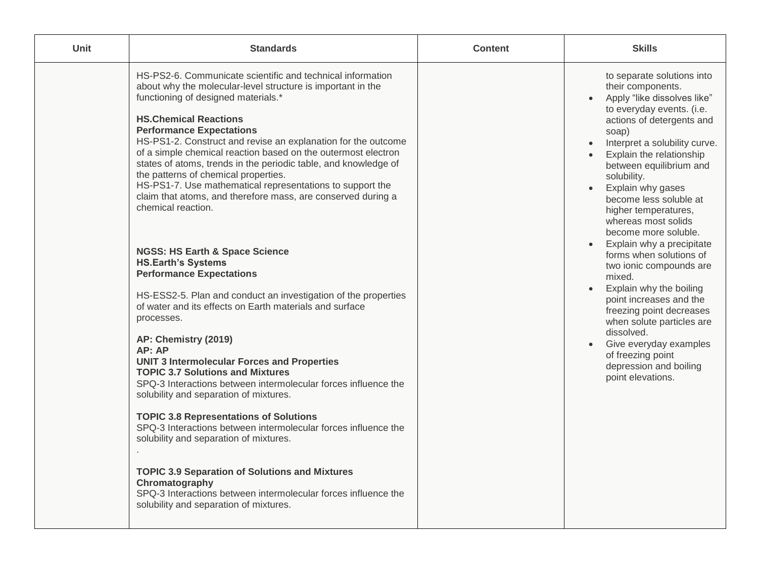| <b>Unit</b> | <b>Standards</b>                                                                                                                                                                                                                                                                                                                                                                                                                                                                                                                                                                                                                                                                                                                                                                                                                                                                                                                                                                                                                                                                                                                                                                                                                                                                                        | <b>Content</b> | <b>Skills</b>                                                                                                                                                                                                                                                                                                                                                                                                                                                                                                                                                                                                                                                                                                                                                                        |
|-------------|---------------------------------------------------------------------------------------------------------------------------------------------------------------------------------------------------------------------------------------------------------------------------------------------------------------------------------------------------------------------------------------------------------------------------------------------------------------------------------------------------------------------------------------------------------------------------------------------------------------------------------------------------------------------------------------------------------------------------------------------------------------------------------------------------------------------------------------------------------------------------------------------------------------------------------------------------------------------------------------------------------------------------------------------------------------------------------------------------------------------------------------------------------------------------------------------------------------------------------------------------------------------------------------------------------|----------------|--------------------------------------------------------------------------------------------------------------------------------------------------------------------------------------------------------------------------------------------------------------------------------------------------------------------------------------------------------------------------------------------------------------------------------------------------------------------------------------------------------------------------------------------------------------------------------------------------------------------------------------------------------------------------------------------------------------------------------------------------------------------------------------|
|             | HS-PS2-6. Communicate scientific and technical information<br>about why the molecular-level structure is important in the<br>functioning of designed materials.*<br><b>HS.Chemical Reactions</b><br><b>Performance Expectations</b><br>HS-PS1-2. Construct and revise an explanation for the outcome<br>of a simple chemical reaction based on the outermost electron<br>states of atoms, trends in the periodic table, and knowledge of<br>the patterns of chemical properties.<br>HS-PS1-7. Use mathematical representations to support the<br>claim that atoms, and therefore mass, are conserved during a<br>chemical reaction.<br><b>NGSS: HS Earth &amp; Space Science</b><br><b>HS.Earth's Systems</b><br><b>Performance Expectations</b><br>HS-ESS2-5. Plan and conduct an investigation of the properties<br>of water and its effects on Earth materials and surface<br>processes.<br>AP: Chemistry (2019)<br>AP: AP<br><b>UNIT 3 Intermolecular Forces and Properties</b><br><b>TOPIC 3.7 Solutions and Mixtures</b><br>SPQ-3 Interactions between intermolecular forces influence the<br>solubility and separation of mixtures.<br><b>TOPIC 3.8 Representations of Solutions</b><br>SPQ-3 Interactions between intermolecular forces influence the<br>solubility and separation of mixtures. |                | to separate solutions into<br>their components.<br>Apply "like dissolves like"<br>$\bullet$<br>to everyday events. (i.e.<br>actions of detergents and<br>soap)<br>Interpret a solubility curve.<br>$\bullet$<br>Explain the relationship<br>$\bullet$<br>between equilibrium and<br>solubility.<br>Explain why gases<br>$\bullet$<br>become less soluble at<br>higher temperatures,<br>whereas most solids<br>become more soluble.<br>Explain why a precipitate<br>forms when solutions of<br>two ionic compounds are<br>mixed.<br>Explain why the boiling<br>$\bullet$<br>point increases and the<br>freezing point decreases<br>when solute particles are<br>dissolved.<br>Give everyday examples<br>$\bullet$<br>of freezing point<br>depression and boiling<br>point elevations. |
|             | <b>TOPIC 3.9 Separation of Solutions and Mixtures</b><br>Chromatography<br>SPQ-3 Interactions between intermolecular forces influence the<br>solubility and separation of mixtures.                                                                                                                                                                                                                                                                                                                                                                                                                                                                                                                                                                                                                                                                                                                                                                                                                                                                                                                                                                                                                                                                                                                     |                |                                                                                                                                                                                                                                                                                                                                                                                                                                                                                                                                                                                                                                                                                                                                                                                      |